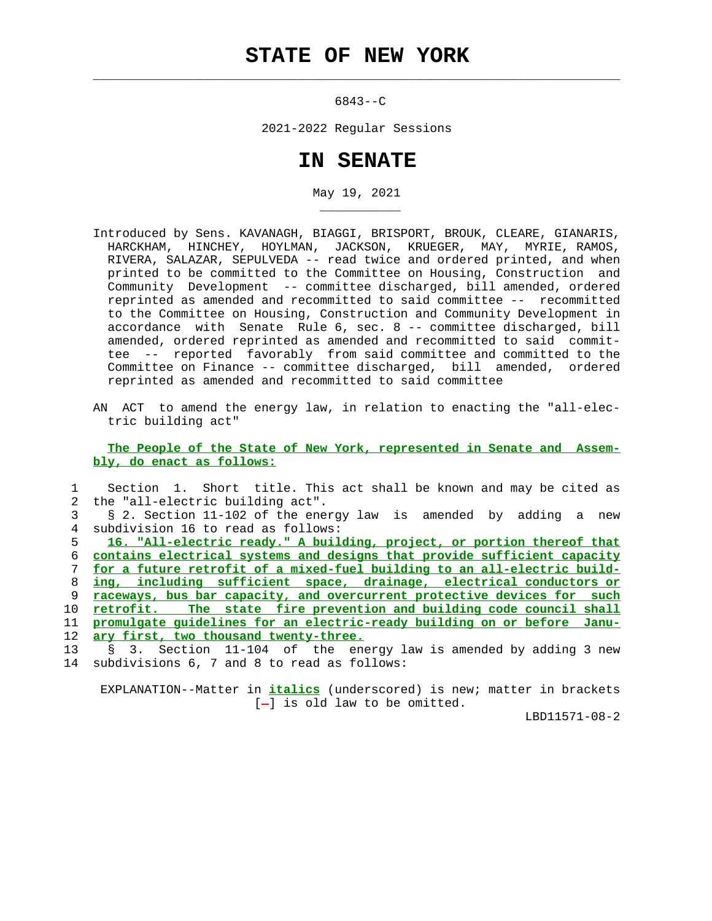$\mathcal{L}_\text{max} = \frac{1}{2} \sum_{i=1}^{n} \frac{1}{2} \sum_{i=1}^{n} \frac{1}{2} \sum_{i=1}^{n} \frac{1}{2} \sum_{i=1}^{n} \frac{1}{2} \sum_{i=1}^{n} \frac{1}{2} \sum_{i=1}^{n} \frac{1}{2} \sum_{i=1}^{n} \frac{1}{2} \sum_{i=1}^{n} \frac{1}{2} \sum_{i=1}^{n} \frac{1}{2} \sum_{i=1}^{n} \frac{1}{2} \sum_{i=1}^{n} \frac{1}{2} \sum_{i=1}^{n} \frac{1$ 

\_\_\_\_\_\_\_\_\_\_\_

6843--C

2021-2022 Regular Sessions

## **IN SENATE**

May 19, 2021

- Introduced by Sens. KAVANAGH, BIAGGI, BRISPORT, BROUK, CLEARE, GIANARIS, HARCKHAM, HINCHEY, HOYLMAN, JACKSON, KRUEGER, MAY, MYRIE, RAMOS, RIVERA, SALAZAR, SEPULVEDA -- read twice and ordered printed, and when printed to be committed to the Committee on Housing, Construction and Community Development -- committee discharged, bill amended, ordered reprinted as amended and recommitted to said committee -- recommitted to the Committee on Housing, Construction and Community Development in accordance with Senate Rule 6, sec. 8 -- committee discharged, bill amended, ordered reprinted as amended and recommitted to said commit tee -- reported favorably from said committee and committed to the Committee on Finance -- committee discharged, bill amended, ordered reprinted as amended and recommitted to said committee
- AN ACT to amend the energy law, in relation to enacting the "all-elec tric building act"

 **The People of the State of New York, represented in Senate and Assem bly, do enact as follows:**

|    | Section 1. Short title. This act shall be known and may be cited as             |
|----|---------------------------------------------------------------------------------|
|    | 2 the "all-electric building act".                                              |
|    | § 2. Section 11-102 of the energy law is amended by adding a new                |
|    | 4 subdivision 16 to read as follows:                                            |
| 5. | 16. "All-electric ready." A building, project, or portion thereof that          |
| ნ. | <u>contains electrical systems and designs that provide sufficient capacity</u> |
| 7  | for a future retrofit of a mixed-fuel building to an all-electric build-        |
|    |                                                                                 |
|    | ing, including sufficient space, drainage, electrical conductors or             |
| 9  | raceways, bus bar capacity, and overcurrent protective devices for such         |
| 10 | retrofit. The state fire prevention and building code council shall             |
| 11 | promulgate quidelines for an electric-ready building on or before Janu-         |
| 12 | ary first, two thousand twenty-three.                                           |
| 13 | § 3. Section 11-104 of the energy law is amended by adding 3 new                |

 EXPLANATION--Matter in **italics** (underscored) is new; matter in brackets  $[-]$  is old law to be omitted.

LBD11571-08-2